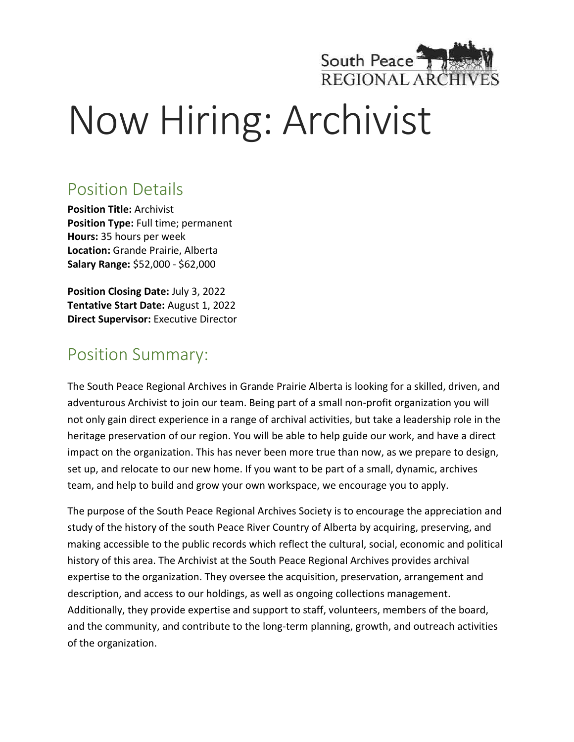

# Now Hiring: Archivist

#### Position Details

**Position Title:** Archivist **Position Type:** Full time; permanent **Hours:** 35 hours per week **Location:** Grande Prairie, Alberta **Salary Range:** \$52,000 - \$62,000

**Position Closing Date:** July 3, 2022 **Tentative Start Date:** August 1, 2022 **Direct Supervisor:** Executive Director

#### Position Summary:

The South Peace Regional Archives in Grande Prairie Alberta is looking for a skilled, driven, and adventurous Archivist to join our team. Being part of a small non-profit organization you will not only gain direct experience in a range of archival activities, but take a leadership role in the heritage preservation of our region. You will be able to help guide our work, and have a direct impact on the organization. This has never been more true than now, as we prepare to design, set up, and relocate to our new home. If you want to be part of a small, dynamic, archives team, and help to build and grow your own workspace, we encourage you to apply.

The purpose of the South Peace Regional Archives Society is to encourage the appreciation and study of the history of the south Peace River Country of Alberta by acquiring, preserving, and making accessible to the public records which reflect the cultural, social, economic and political history of this area. The Archivist at the South Peace Regional Archives provides archival expertise to the organization. They oversee the acquisition, preservation, arrangement and description, and access to our holdings, as well as ongoing collections management. Additionally, they provide expertise and support to staff, volunteers, members of the board, and the community, and contribute to the long-term planning, growth, and outreach activities of the organization.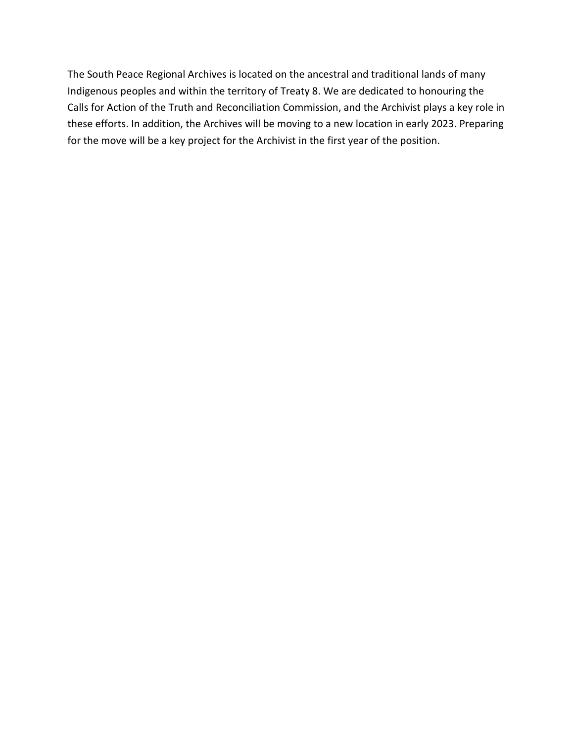The South Peace Regional Archives is located on the ancestral and traditional lands of many Indigenous peoples and within the territory of Treaty 8. We are dedicated to honouring the Calls for Action of the Truth and Reconciliation Commission, and the Archivist plays a key role in these efforts. In addition, the Archives will be moving to a new location in early 2023. Preparing for the move will be a key project for the Archivist in the first year of the position.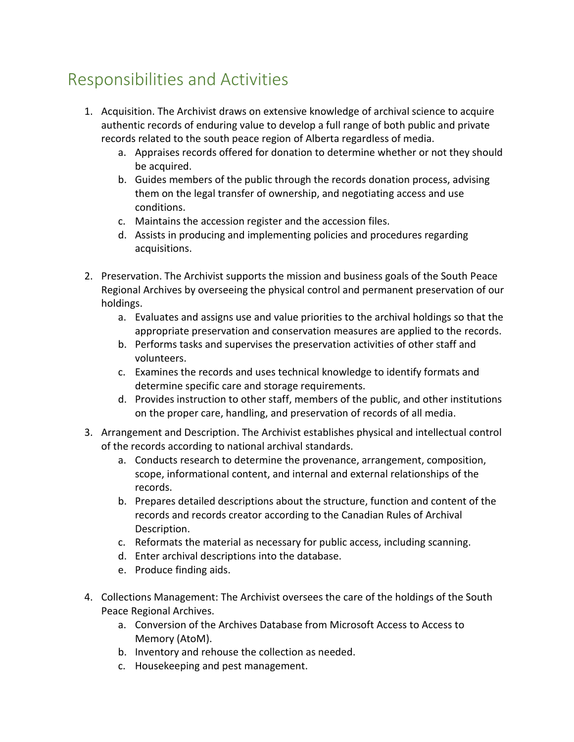### Responsibilities and Activities

- 1. Acquisition. The Archivist draws on extensive knowledge of archival science to acquire authentic records of enduring value to develop a full range of both public and private records related to the south peace region of Alberta regardless of media.
	- a. Appraises records offered for donation to determine whether or not they should be acquired.
	- b. Guides members of the public through the records donation process, advising them on the legal transfer of ownership, and negotiating access and use conditions.
	- c. Maintains the accession register and the accession files.
	- d. Assists in producing and implementing policies and procedures regarding acquisitions.
- 2. Preservation. The Archivist supports the mission and business goals of the South Peace Regional Archives by overseeing the physical control and permanent preservation of our holdings.
	- a. Evaluates and assigns use and value priorities to the archival holdings so that the appropriate preservation and conservation measures are applied to the records.
	- b. Performs tasks and supervises the preservation activities of other staff and volunteers.
	- c. Examines the records and uses technical knowledge to identify formats and determine specific care and storage requirements.
	- d. Provides instruction to other staff, members of the public, and other institutions on the proper care, handling, and preservation of records of all media.
- 3. Arrangement and Description. The Archivist establishes physical and intellectual control of the records according to national archival standards.
	- a. Conducts research to determine the provenance, arrangement, composition, scope, informational content, and internal and external relationships of the records.
	- b. Prepares detailed descriptions about the structure, function and content of the records and records creator according to the Canadian Rules of Archival Description.
	- c. Reformats the material as necessary for public access, including scanning.
	- d. Enter archival descriptions into the database.
	- e. Produce finding aids.
- 4. Collections Management: The Archivist oversees the care of the holdings of the South Peace Regional Archives.
	- a. Conversion of the Archives Database from Microsoft Access to Access to Memory (AtoM).
	- b. Inventory and rehouse the collection as needed.
	- c. Housekeeping and pest management.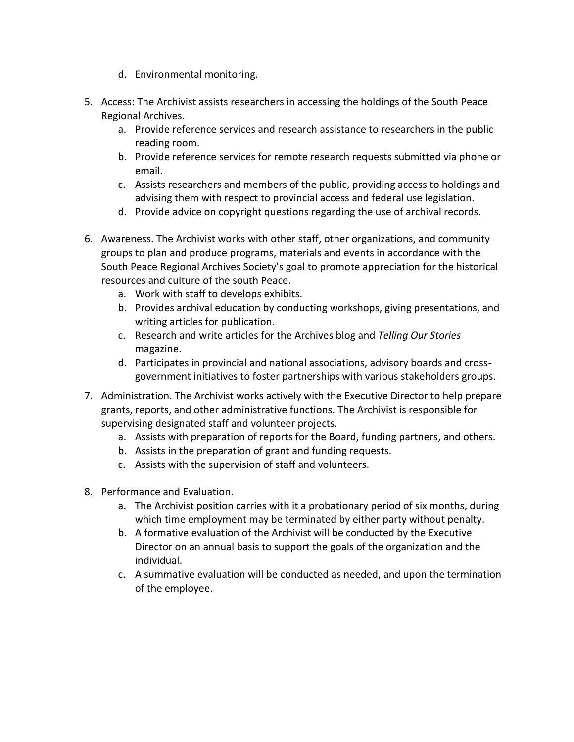- d. Environmental monitoring.
- 5. Access: The Archivist assists researchers in accessing the holdings of the South Peace Regional Archives.
	- a. Provide reference services and research assistance to researchers in the public reading room.
	- b. Provide reference services for remote research requests submitted via phone or email.
	- c. Assists researchers and members of the public, providing access to holdings and advising them with respect to provincial access and federal use legislation.
	- d. Provide advice on copyright questions regarding the use of archival records.
- 6. Awareness. The Archivist works with other staff, other organizations, and community groups to plan and produce programs, materials and events in accordance with the South Peace Regional Archives Society's goal to promote appreciation for the historical resources and culture of the south Peace.
	- a. Work with staff to develops exhibits.
	- b. Provides archival education by conducting workshops, giving presentations, and writing articles for publication.
	- c. Research and write articles for the Archives blog and *Telling Our Stories*  magazine.
	- d. Participates in provincial and national associations, advisory boards and crossgovernment initiatives to foster partnerships with various stakeholders groups.
- 7. Administration. The Archivist works actively with the Executive Director to help prepare grants, reports, and other administrative functions. The Archivist is responsible for supervising designated staff and volunteer projects.
	- a. Assists with preparation of reports for the Board, funding partners, and others.
	- b. Assists in the preparation of grant and funding requests.
	- c. Assists with the supervision of staff and volunteers.
- 8. Performance and Evaluation.
	- a. The Archivist position carries with it a probationary period of six months, during which time employment may be terminated by either party without penalty.
	- b. A formative evaluation of the Archivist will be conducted by the Executive Director on an annual basis to support the goals of the organization and the individual.
	- c. A summative evaluation will be conducted as needed, and upon the termination of the employee.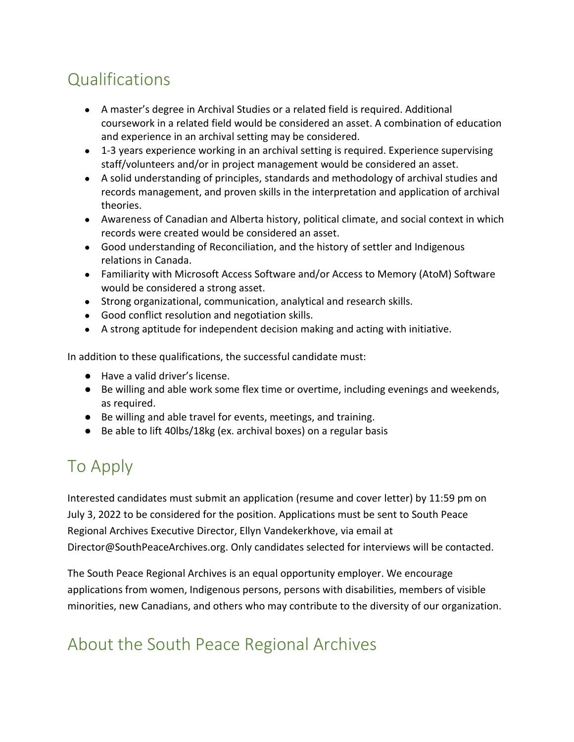## **Qualifications**

- A master's degree in Archival Studies or a related field is required. Additional coursework in a related field would be considered an asset. A combination of education and experience in an archival setting may be considered.
- 1-3 years experience working in an archival setting is required. Experience supervising staff/volunteers and/or in project management would be considered an asset.
- A solid understanding of principles, standards and methodology of archival studies and records management, and proven skills in the interpretation and application of archival theories.
- Awareness of Canadian and Alberta history, political climate, and social context in which records were created would be considered an asset.
- Good understanding of Reconciliation, and the history of settler and Indigenous relations in Canada.
- Familiarity with Microsoft Access Software and/or Access to Memory (AtoM) Software would be considered a strong asset.
- Strong organizational, communication, analytical and research skills.
- Good conflict resolution and negotiation skills.
- A strong aptitude for independent decision making and acting with initiative.

In addition to these qualifications, the successful candidate must:

- Have a valid driver's license.
- Be willing and able work some flex time or overtime, including evenings and weekends, as required.
- Be willing and able travel for events, meetings, and training.
- Be able to lift 40lbs/18kg (ex. archival boxes) on a regular basis

# To Apply

Interested candidates must submit an application (resume and cover letter) by 11:59 pm on July 3, 2022 to be considered for the position. Applications must be sent to South Peace Regional Archives Executive Director, Ellyn Vandekerkhove, via email at Director@SouthPeaceArchives.org. Only candidates selected for interviews will be contacted.

The South Peace Regional Archives is an equal opportunity employer. We encourage applications from women, Indigenous persons, persons with disabilities, members of visible minorities, new Canadians, and others who may contribute to the diversity of our organization.

## About the South Peace Regional Archives